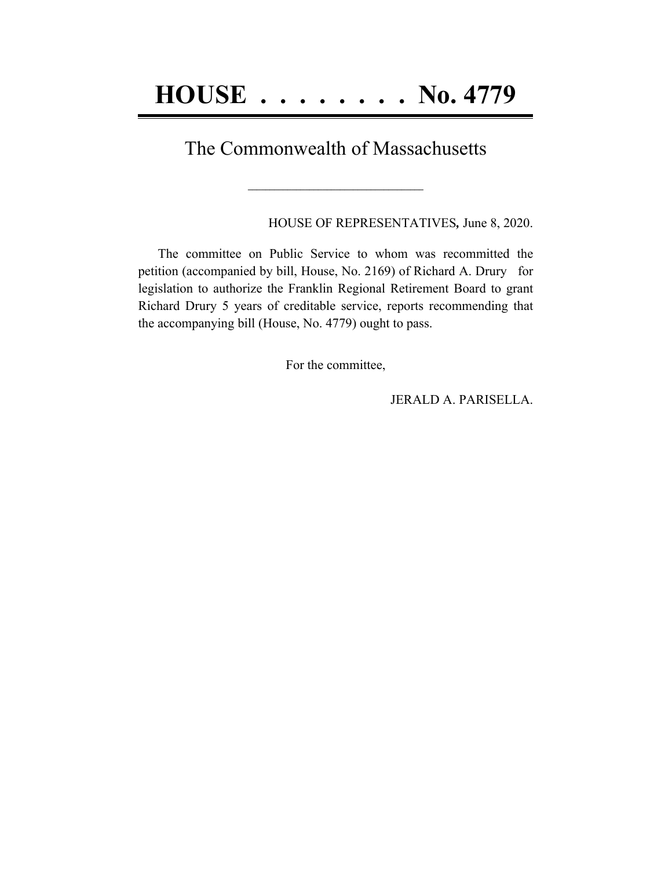## The Commonwealth of Massachusetts

**\_\_\_\_\_\_\_\_\_\_\_\_\_\_\_\_\_\_\_\_\_\_\_\_\_\_\_\_\_\_\_\_\_\_\_\_\_\_\_\_**

HOUSE OF REPRESENTATIVES*,* June 8, 2020.

The committee on Public Service to whom was recommitted the petition (accompanied by bill, House, No. 2169) of Richard A. Drury for legislation to authorize the Franklin Regional Retirement Board to grant Richard Drury 5 years of creditable service, reports recommending that the accompanying bill (House, No. 4779) ought to pass.

For the committee,

JERALD A. PARISELLA.